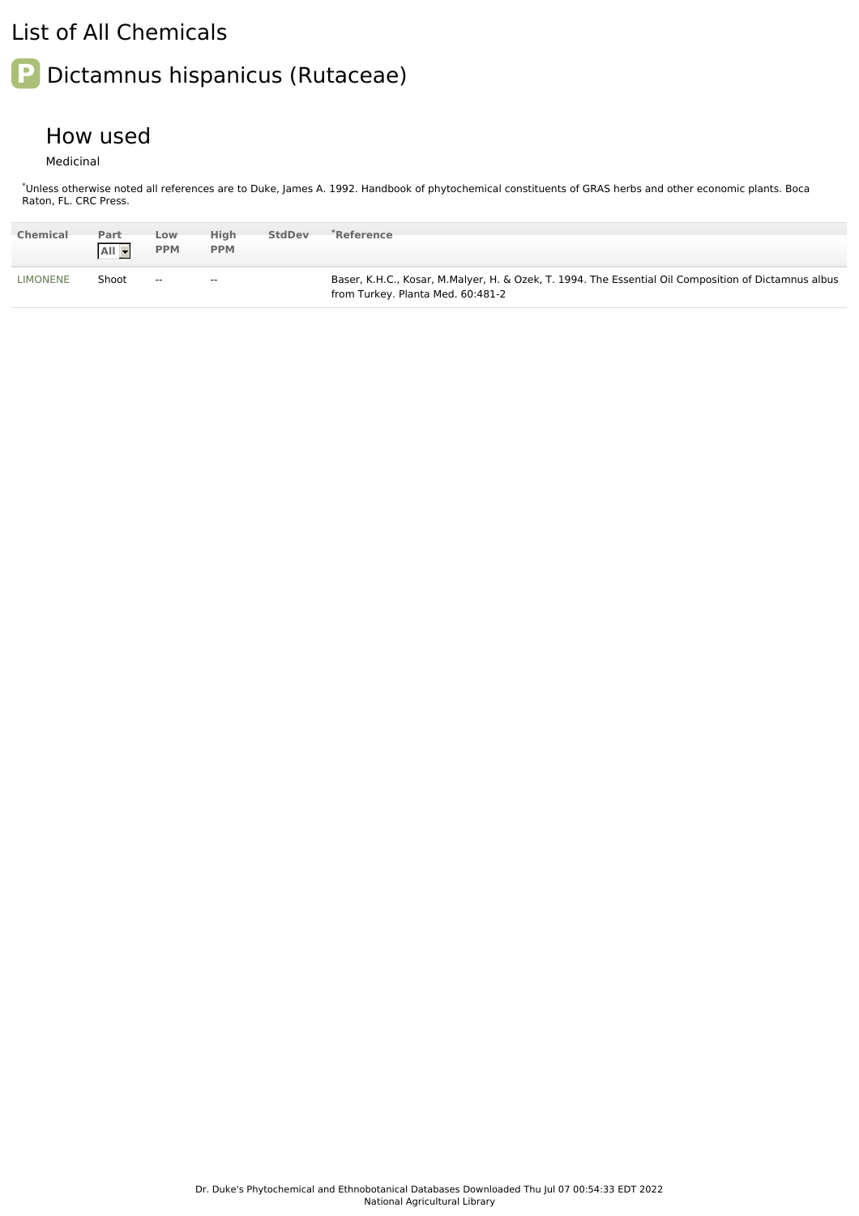## List of All Chemicals

## **P** Dictamnus hispanicus (Rutaceae)

## How used

Medicinal

\*Unless otherwise noted all references are to Duke, James A. 1992. Handbook of phytochemical constituents of GRAS herbs and other economic plants. Boca Raton, FL. CRC Press.

| <b>Chemical</b> | Part<br>$All -$ | Low<br><b>PPM</b> | High<br><b>PPM</b>       | <b>StdDev</b> | *Reference                                                                                                                                |
|-----------------|-----------------|-------------------|--------------------------|---------------|-------------------------------------------------------------------------------------------------------------------------------------------|
| <b>LIMONENE</b> | Shoot           | $\sim$ $-$        | $\overline{\phantom{a}}$ |               | Baser, K.H.C., Kosar, M.Malyer, H. & Ozek, T. 1994. The Essential Oil Composition of Dictamnus albus<br>from Turkey. Planta Med. 60:481-2 |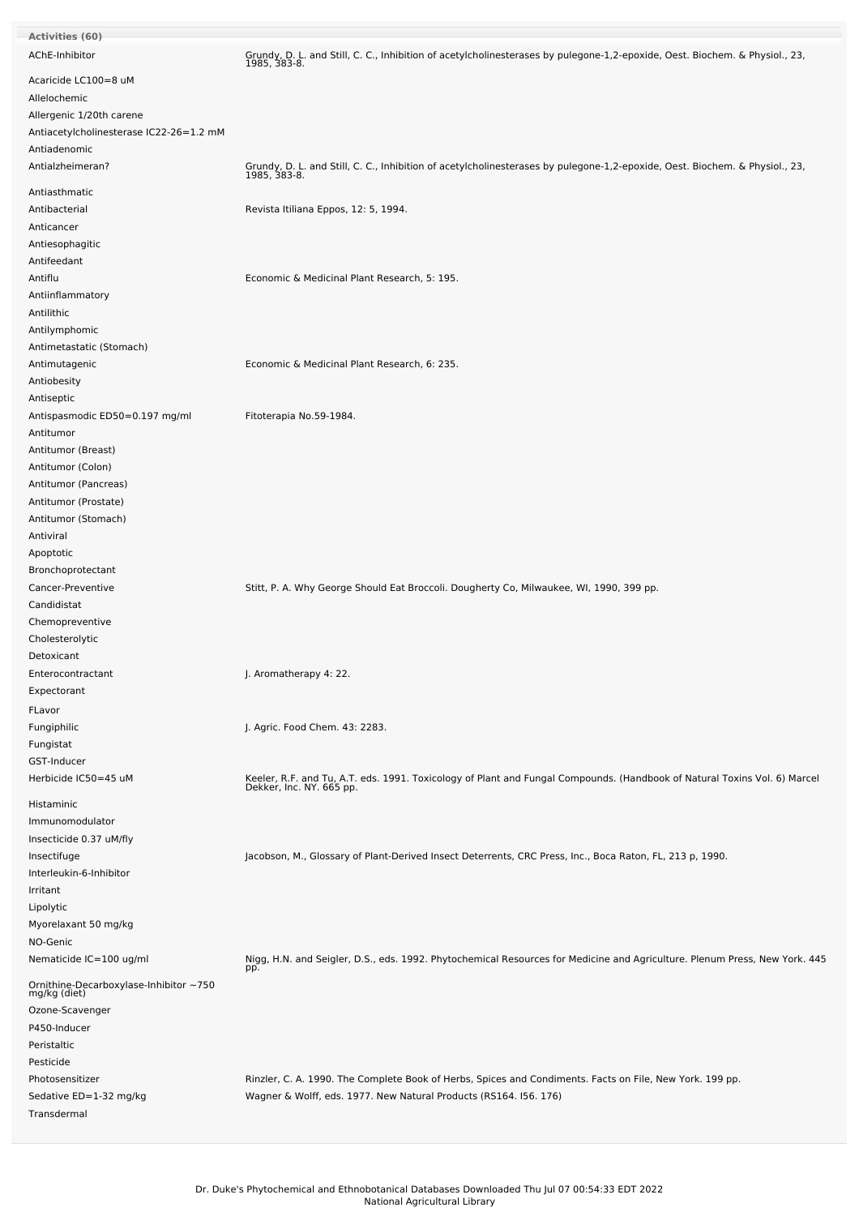| <b>Activities (60)</b>                                 |                                                                                                                                                       |
|--------------------------------------------------------|-------------------------------------------------------------------------------------------------------------------------------------------------------|
| AChE-Inhibitor                                         | Grundy, D. L. and Still, C. C., Inhibition of acetylcholinesterases by pulegone-1,2-epoxide, Oest. Biochem. & Physiol., 23,<br>1985, 383-8.           |
| Acaricide LC100=8 uM<br>Allelochemic                   |                                                                                                                                                       |
| Allergenic 1/20th carene                               |                                                                                                                                                       |
| Antiacetylcholinesterase IC22-26=1.2 mM                |                                                                                                                                                       |
| Antiadenomic                                           |                                                                                                                                                       |
| Antialzheimeran?                                       | Grundy, D. L. and Still, C. C., Inhibition of acetylcholinesterases by pulegone-1,2-epoxide, Oest. Biochem. & Physiol., 23,<br>1985, 383-8.           |
| Antiasthmatic                                          |                                                                                                                                                       |
| Antibacterial                                          | Revista Itiliana Eppos, 12: 5, 1994.                                                                                                                  |
| Anticancer                                             |                                                                                                                                                       |
| Antiesophagitic                                        |                                                                                                                                                       |
| Antifeedant                                            |                                                                                                                                                       |
| Antiflu                                                | Economic & Medicinal Plant Research, 5: 195.                                                                                                          |
| Antiinflammatory                                       |                                                                                                                                                       |
| Antilithic                                             |                                                                                                                                                       |
| Antilymphomic                                          |                                                                                                                                                       |
| Antimetastatic (Stomach)                               |                                                                                                                                                       |
| Antimutagenic                                          | Economic & Medicinal Plant Research, 6: 235.                                                                                                          |
| Antiobesity                                            |                                                                                                                                                       |
| Antiseptic                                             |                                                                                                                                                       |
| Antispasmodic ED50=0.197 mg/ml                         | Fitoterapia No.59-1984.                                                                                                                               |
| Antitumor                                              |                                                                                                                                                       |
| Antitumor (Breast)                                     |                                                                                                                                                       |
| Antitumor (Colon)                                      |                                                                                                                                                       |
| Antitumor (Pancreas)                                   |                                                                                                                                                       |
| Antitumor (Prostate)                                   |                                                                                                                                                       |
| Antitumor (Stomach)                                    |                                                                                                                                                       |
| Antiviral                                              |                                                                                                                                                       |
| Apoptotic                                              |                                                                                                                                                       |
| Bronchoprotectant                                      |                                                                                                                                                       |
| Cancer-Preventive                                      | Stitt, P. A. Why George Should Eat Broccoli. Dougherty Co, Milwaukee, WI, 1990, 399 pp.                                                               |
| Candidistat                                            |                                                                                                                                                       |
| Chemopreventive                                        |                                                                                                                                                       |
| Cholesterolytic                                        |                                                                                                                                                       |
| Detoxicant                                             |                                                                                                                                                       |
| Enterocontractant                                      | J. Aromatherapy 4: 22.                                                                                                                                |
| Expectorant                                            |                                                                                                                                                       |
|                                                        |                                                                                                                                                       |
| FLavor                                                 |                                                                                                                                                       |
| Fungiphilic                                            | J. Agric. Food Chem. 43: 2283.                                                                                                                        |
| Fungistat                                              |                                                                                                                                                       |
| GST-Inducer                                            |                                                                                                                                                       |
| Herbicide IC50=45 uM<br>Histaminic                     | Keeler, R.F. and Tu, A.T. eds. 1991. Toxicology of Plant and Fungal Compounds. (Handbook of Natural Toxins Vol. 6) Marcel<br>Dekker, Inc. NY. 665 pp. |
| Immunomodulator                                        |                                                                                                                                                       |
|                                                        |                                                                                                                                                       |
| Insecticide 0.37 uM/fly<br>Insectifuge                 | Jacobson, M., Glossary of Plant-Derived Insect Deterrents, CRC Press, Inc., Boca Raton, FL, 213 p, 1990.                                              |
| Interleukin-6-Inhibitor                                |                                                                                                                                                       |
| Irritant                                               |                                                                                                                                                       |
| Lipolytic                                              |                                                                                                                                                       |
| Myorelaxant 50 mg/kg                                   |                                                                                                                                                       |
| NO-Genic                                               |                                                                                                                                                       |
| Nematicide IC=100 ug/ml                                | Nigg, H.N. and Seigler, D.S., eds. 1992. Phytochemical Resources for Medicine and Agriculture. Plenum Press, New York. 445                            |
| Ornithine-Decarboxylase-Inhibitor ~750<br>mg/kg (diet) | pp.                                                                                                                                                   |
|                                                        |                                                                                                                                                       |
| Ozone-Scavenger                                        |                                                                                                                                                       |
| P450-Inducer                                           |                                                                                                                                                       |
| Peristaltic                                            |                                                                                                                                                       |
| Pesticide                                              |                                                                                                                                                       |
| Photosensitizer                                        | Rinzler, C. A. 1990. The Complete Book of Herbs, Spices and Condiments. Facts on File, New York. 199 pp.                                              |
| Sedative ED=1-32 mg/kg                                 | Wagner & Wolff, eds. 1977. New Natural Products (RS164. I56. 176)                                                                                     |
| Transdermal                                            |                                                                                                                                                       |